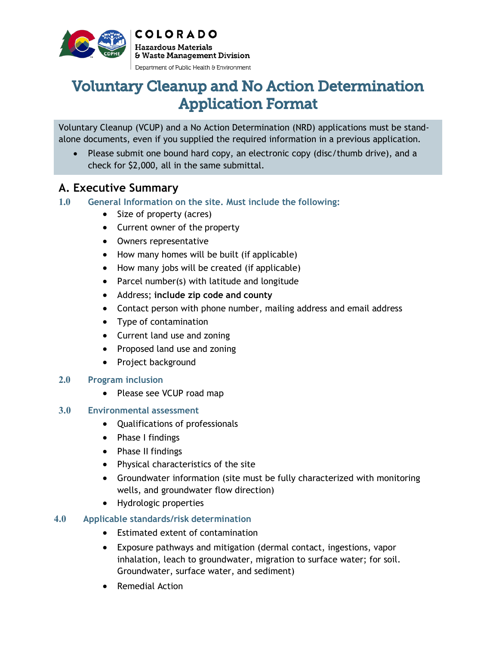

**COLORADO Hazardous Materials** & Waste Management Division Department of Public Health & Environment

# Voluntary Cleanup and No Action Determination Application Format

Voluntary Cleanup (VCUP) and a No Action Determination (NRD) applications must be standalone documents, even if you supplied the required information in a previous application.

· Please submit one bound hard copy, an electronic copy (disc/thumb drive), and a check for \$2,000, all in the same submittal.

# **A. Executive Summary**

- **1.0 General Information on the site. Must include the following:**
	- · Size of property (acres)
	- · Current owner of the property
	- · Owners representative
	- How many homes will be built (if applicable)
	- · How many jobs will be created (if applicable)
	- · Parcel number(s) with latitude and longitude
	- · Address; **include zip code and county**
	- Contact person with phone number, mailing address and email address
	- · Type of contamination
	- · Current land use and zoning
	- · Proposed land use and zoning
	- · Project background

### **2.0 Program inclusion**

· Please see VCUP road map

### **3.0 Environmental assessment**

- · Qualifications of professionals
- · Phase I findings
- · Phase II findings
- · Physical characteristics of the site
- · Groundwater information (site must be fully characterized with monitoring wells, and groundwater flow direction)
- · Hydrologic properties

### **4.0 Applicable standards/risk determination**

- · Estimated extent of contamination
- · Exposure pathways and mitigation (dermal contact, ingestions, vapor inhalation, leach to groundwater, migration to surface water; for soil. Groundwater, surface water, and sediment)
- Remedial Action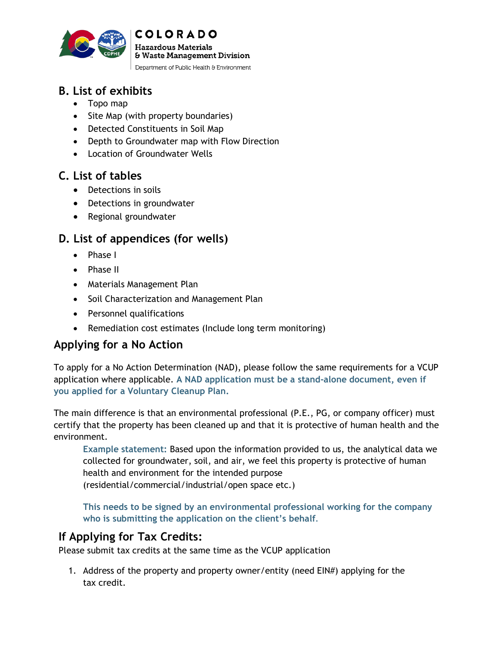

# **B. List of exhibits**

- · Topo map
- · Site Map (with property boundaries)
- · Detected Constituents in Soil Map
- · Depth to Groundwater map with Flow Direction

**COLORADO Hazardous Materials** 

& Waste Management Division Department of Public Health & Environment

· Location of Groundwater Wells

# **C. List of tables**

- · Detections in soils
- · Detections in groundwater
- · Regional groundwater

# **D. List of appendices (for wells)**

- · Phase I
- · Phase II
- · Materials Management Plan
- · Soil Characterization and Management Plan
- · Personnel qualifications
- · Remediation cost estimates (Include long term monitoring)

# **Applying for a No Action**

To apply for a No Action Determination (NAD), please follow the same requirements for a VCUP application where applicable. **A NAD application must be a stand-alone document, even if you applied for a Voluntary Cleanup Plan.**

The main difference is that an environmental professional (P.E., PG, or company officer) must certify that the property has been cleaned up and that it is protective of human health and the environment.

**Example statement:** Based upon the information provided to us, the analytical data we collected for groundwater, soil, and air, we feel this property is protective of human health and environment for the intended purpose (residential/commercial/industrial/open space etc.)

**This needs to be signed by an environmental professional working for the company who is submitting the application on the client's behalf**.

# **If Applying for Tax Credits:**

Please submit tax credits at the same time as the VCUP application

1. Address of the property and property owner/entity (need EIN#) applying for the tax credit.